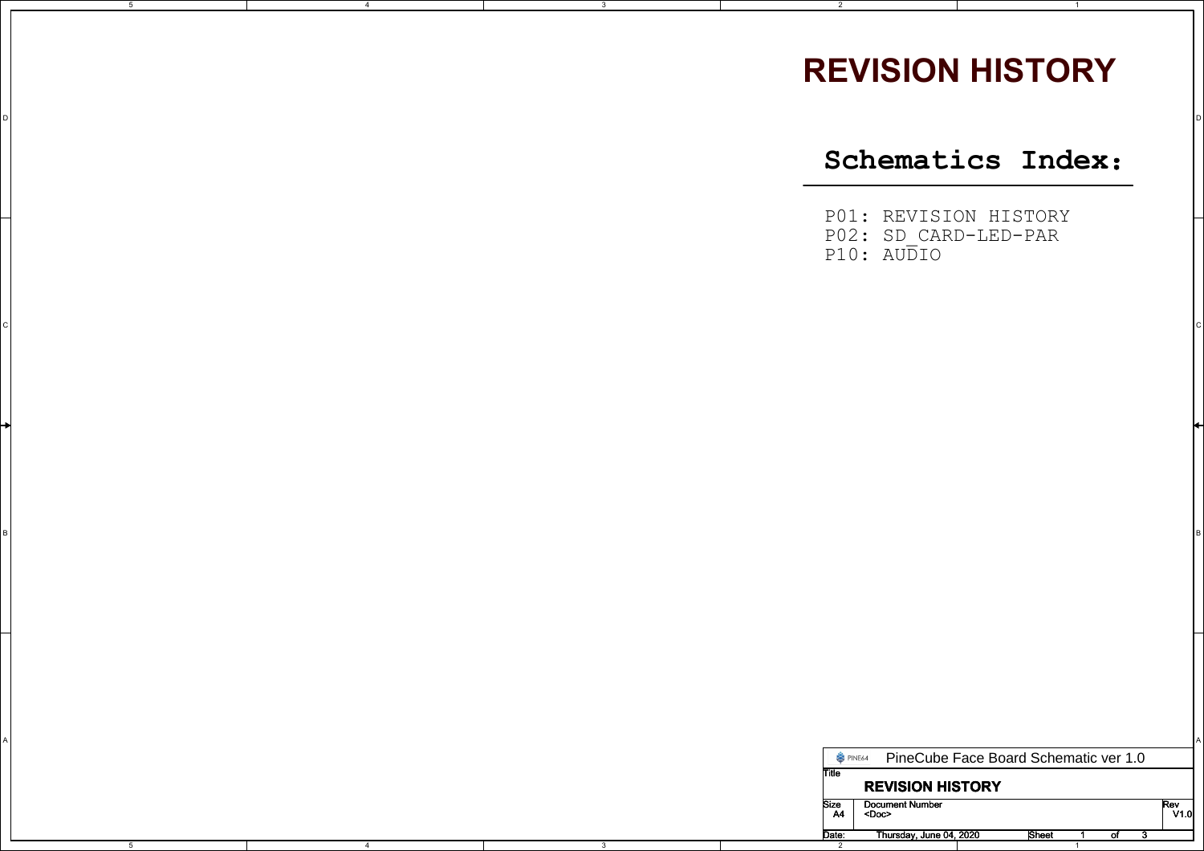## **REVISION HISTORY**

1

2

5

D

4

<sup>D</sup>

 $\sim$  C  $\sim$  C  $\sim$  C  $\sim$  C  $\sim$  C  $\sim$  C  $\sim$  C  $\sim$  C  $\sim$  C  $\sim$  C  $\sim$  C  $\sim$  C  $\sim$  C  $\sim$  C  $\sim$  C  $\sim$  C  $\sim$  C  $\sim$  C  $\sim$  C  $\sim$  C  $\sim$  C  $\sim$  C  $\sim$  C  $\sim$  C  $\sim$  C  $\sim$  C  $\sim$  C  $\sim$  C  $\sim$  C  $\sim$  C  $\sim$  C  $\sim$ 

в произведения в отношении с произведения в отношении с произведения в отношении с произведения и произведения<br>В различных получительности получительности получительности получительности получительности получительности по

**Schematics Index**:

P01: REVISION HISTORY P02: SD\_CARD-LED-PARP10: AUDIO

|  |  | PINE64  | PineCube Face Board Schematic ver 1.0 |       |  |      |
|--|--|---------|---------------------------------------|-------|--|------|
|  |  | II itle |                                       |       |  |      |
|  |  |         | <b>REVISION HISTORY</b>               |       |  |      |
|  |  | Size    | <b>Document Number</b>                |       |  | Rev  |
|  |  | A4      | <doc></doc>                           |       |  | V1.0 |
|  |  | Date:   | Thursday, June 04, 2020               | Sheet |  |      |
|  |  |         |                                       |       |  |      |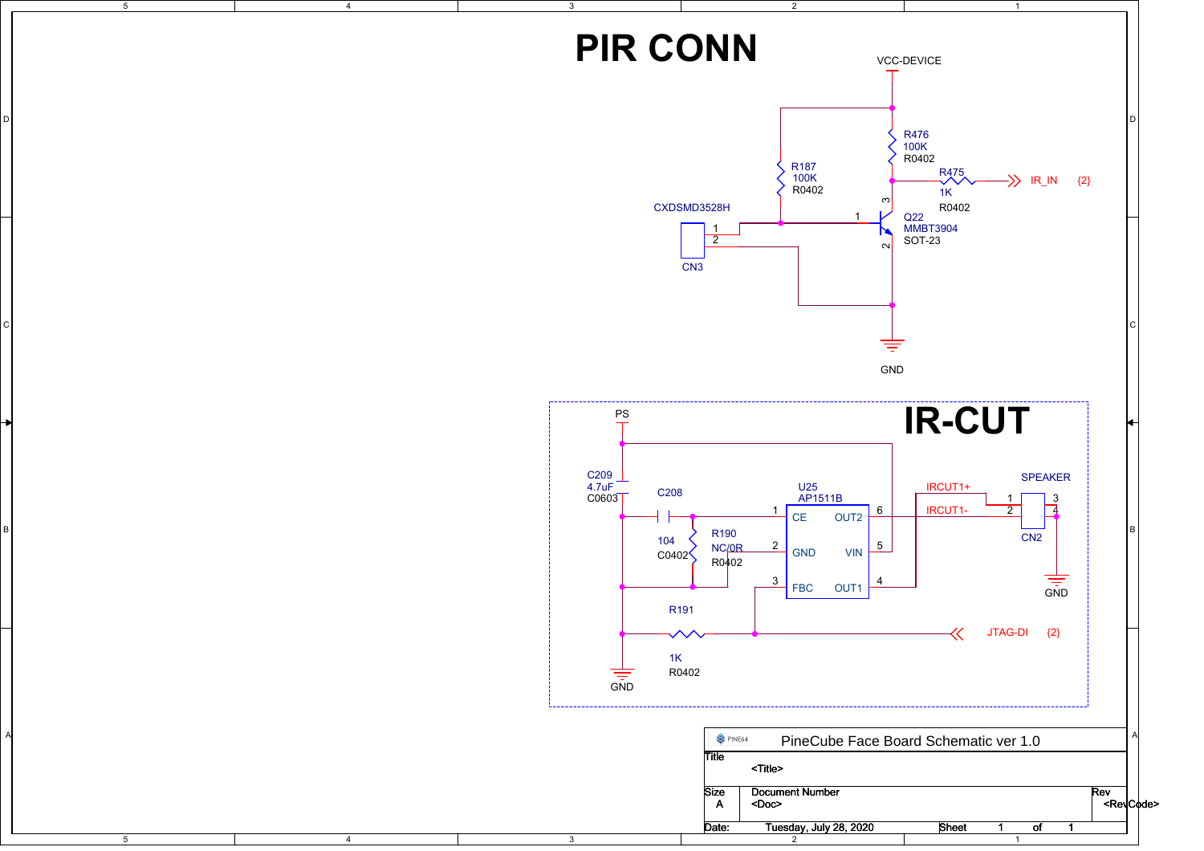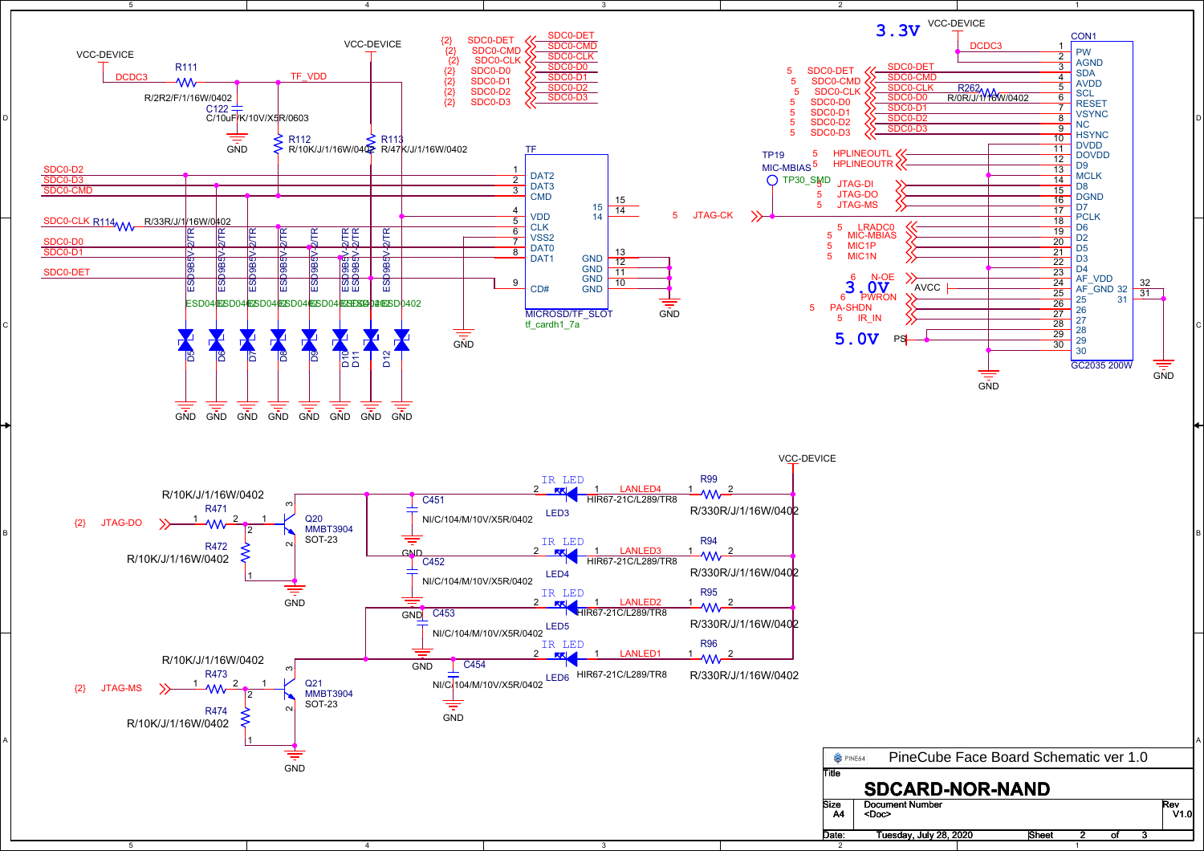

D

A